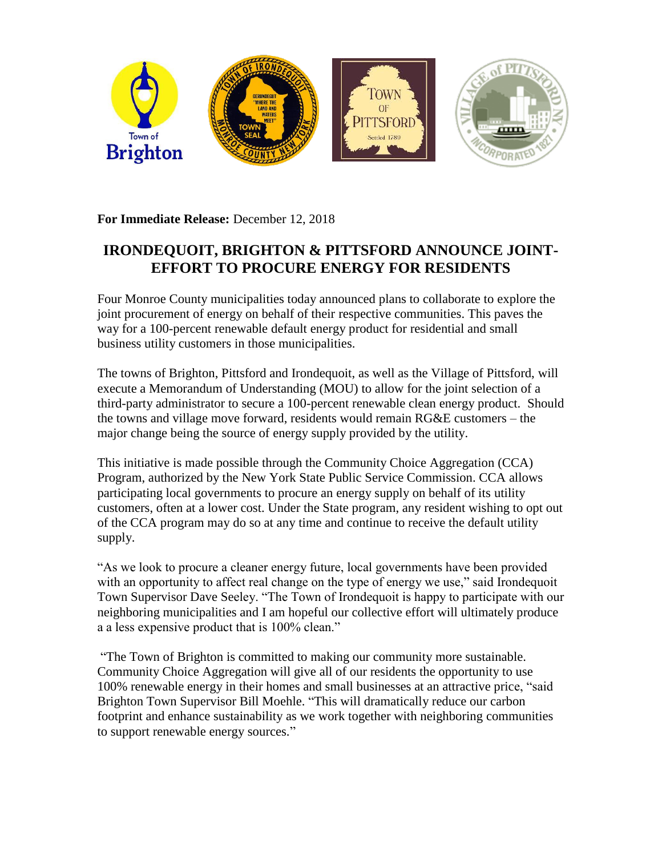

**For Immediate Release:** December 12, 2018

## **IRONDEQUOIT, BRIGHTON & PITTSFORD ANNOUNCE JOINT-EFFORT TO PROCURE ENERGY FOR RESIDENTS**

Four Monroe County municipalities today announced plans to collaborate to explore the joint procurement of energy on behalf of their respective communities. This paves the way for a 100-percent renewable default energy product for residential and small business utility customers in those municipalities.

The towns of Brighton, Pittsford and Irondequoit, as well as the Village of Pittsford, will execute a Memorandum of Understanding (MOU) to allow for the joint selection of a third-party administrator to secure a 100-percent renewable clean energy product. Should the towns and village move forward, residents would remain RG&E customers – the major change being the source of energy supply provided by the utility.

This initiative is made possible through the Community Choice Aggregation (CCA) Program, authorized by the New York State Public Service Commission. CCA allows participating local governments to procure an energy supply on behalf of its utility customers, often at a lower cost. Under the State program, any resident wishing to opt out of the CCA program may do so at any time and continue to receive the default utility supply.

"As we look to procure a cleaner energy future, local governments have been provided with an opportunity to affect real change on the type of energy we use," said Irondequoit Town Supervisor Dave Seeley. "The Town of Irondequoit is happy to participate with our neighboring municipalities and I am hopeful our collective effort will ultimately produce a a less expensive product that is 100% clean."

"The Town of Brighton is committed to making our community more sustainable. Community Choice Aggregation will give all of our residents the opportunity to use 100% renewable energy in their homes and small businesses at an attractive price, "said Brighton Town Supervisor Bill Moehle. "This will dramatically reduce our carbon footprint and enhance sustainability as we work together with neighboring communities to support renewable energy sources."